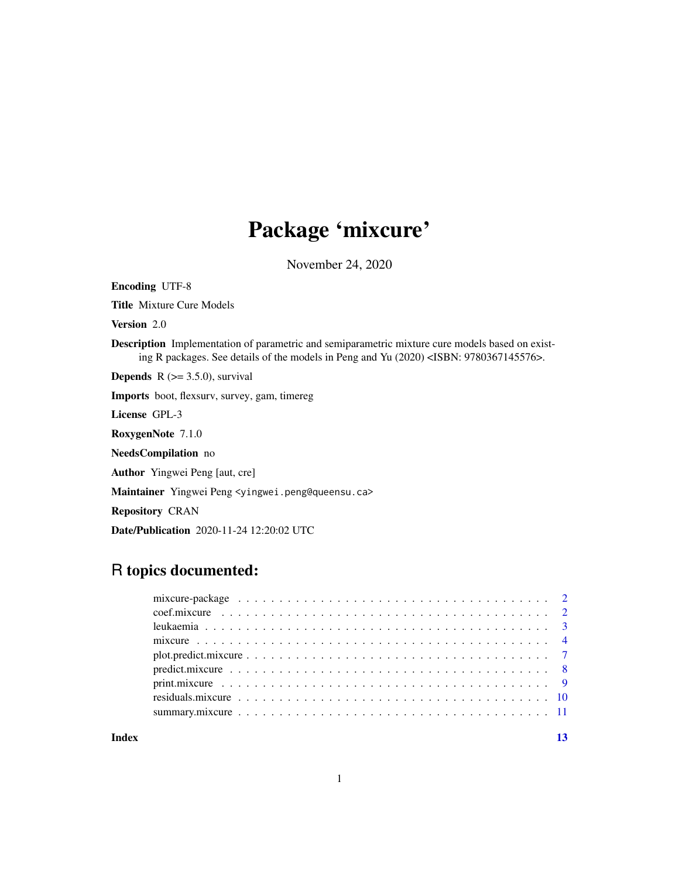## Package 'mixcure'

November 24, 2020

Title Mixture Cure Models Version 2.0 Description Implementation of parametric and semiparametric mixture cure models based on existing R packages. See details of the models in Peng and Yu (2020) <ISBN: 9780367145576>. **Depends**  $R$  ( $> = 3.5.0$ ), survival Imports boot, flexsurv, survey, gam, timereg License GPL-3 RoxygenNote 7.1.0 NeedsCompilation no Author Yingwei Peng [aut, cre] Maintainer Yingwei Peng <yingwei.peng@queensu.ca> Repository CRAN Date/Publication 2020-11-24 12:20:02 UTC

### R topics documented:

Encoding UTF-8

| Index | 13 |
|-------|----|
|       |    |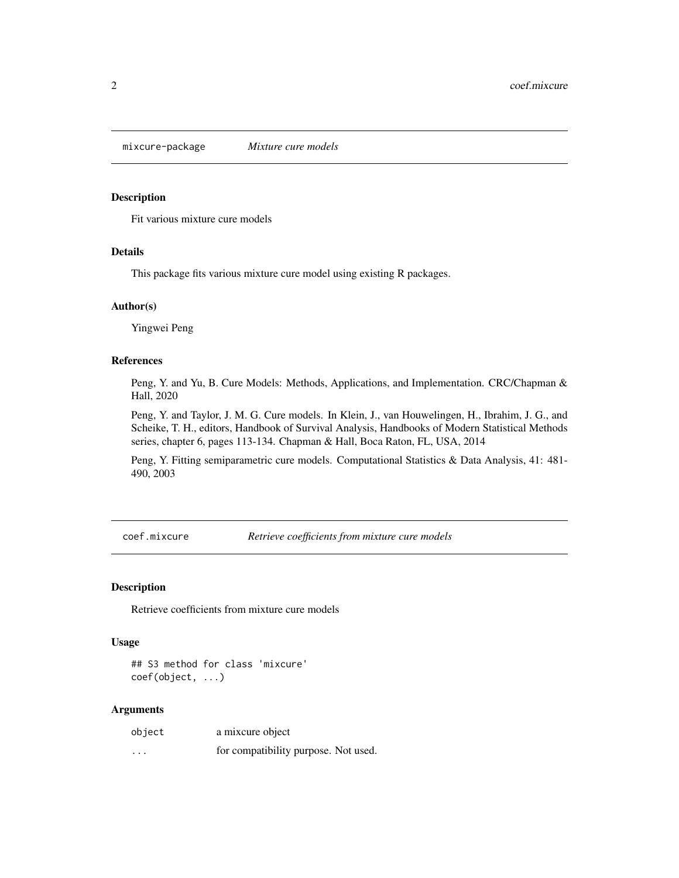<span id="page-1-0"></span>mixcure-package *Mixture cure models*

#### Description

Fit various mixture cure models

#### Details

This package fits various mixture cure model using existing R packages.

#### Author(s)

Yingwei Peng

#### References

Peng, Y. and Yu, B. Cure Models: Methods, Applications, and Implementation. CRC/Chapman & Hall, 2020

Peng, Y. and Taylor, J. M. G. Cure models. In Klein, J., van Houwelingen, H., Ibrahim, J. G., and Scheike, T. H., editors, Handbook of Survival Analysis, Handbooks of Modern Statistical Methods series, chapter 6, pages 113-134. Chapman & Hall, Boca Raton, FL, USA, 2014

Peng, Y. Fitting semiparametric cure models. Computational Statistics & Data Analysis, 41: 481- 490, 2003

coef.mixcure *Retrieve coefficients from mixture cure models*

#### Description

Retrieve coefficients from mixture cure models

#### Usage

## S3 method for class 'mixcure' coef(object, ...)

| object   | a mixcure object                     |  |
|----------|--------------------------------------|--|
| $\cdots$ | for compatibility purpose. Not used. |  |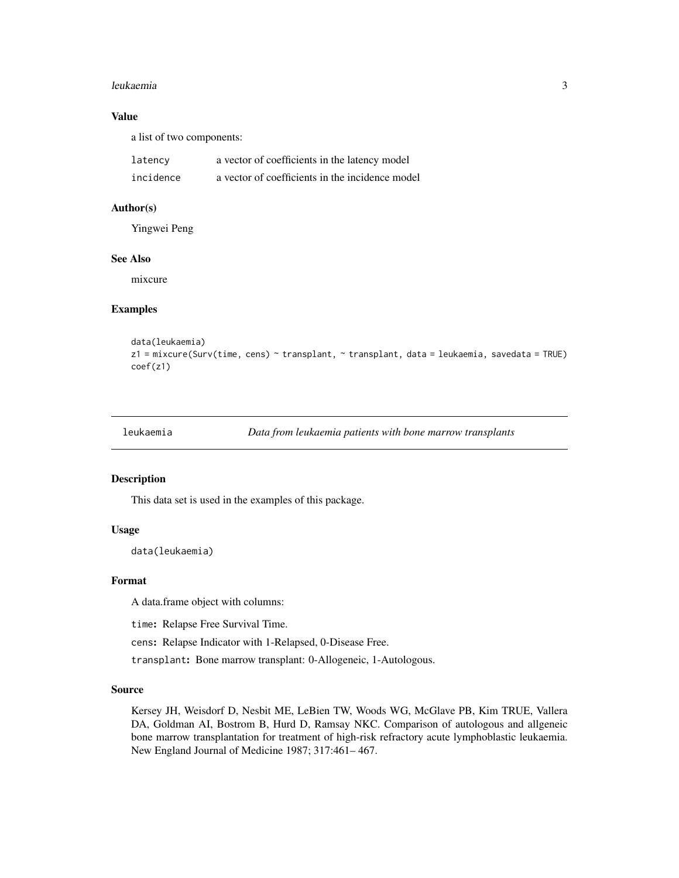#### <span id="page-2-0"></span>leukaemia 3

#### Value

a list of two components:

| latency   | a vector of coefficients in the latency model   |
|-----------|-------------------------------------------------|
| incidence | a vector of coefficients in the incidence model |

#### Author(s)

Yingwei Peng

#### See Also

mixcure

#### Examples

```
data(leukaemia)
z1 = mixcure(Surv(time, cens) ~ transplant, ~ transplant, data = leukaemia, savedata = TRUE)
coef(z1)
```

```
leukaemia Data from leukaemia patients with bone marrow transplants
```
#### Description

This data set is used in the examples of this package.

#### Usage

data(leukaemia)

#### Format

A data.frame object with columns:

time: Relapse Free Survival Time.

cens: Relapse Indicator with 1-Relapsed, 0-Disease Free.

transplant: Bone marrow transplant: 0-Allogeneic, 1-Autologous.

#### Source

Kersey JH, Weisdorf D, Nesbit ME, LeBien TW, Woods WG, McGlave PB, Kim TRUE, Vallera DA, Goldman AI, Bostrom B, Hurd D, Ramsay NKC. Comparison of autologous and allgeneic bone marrow transplantation for treatment of high-risk refractory acute lymphoblastic leukaemia. New England Journal of Medicine 1987; 317:461– 467.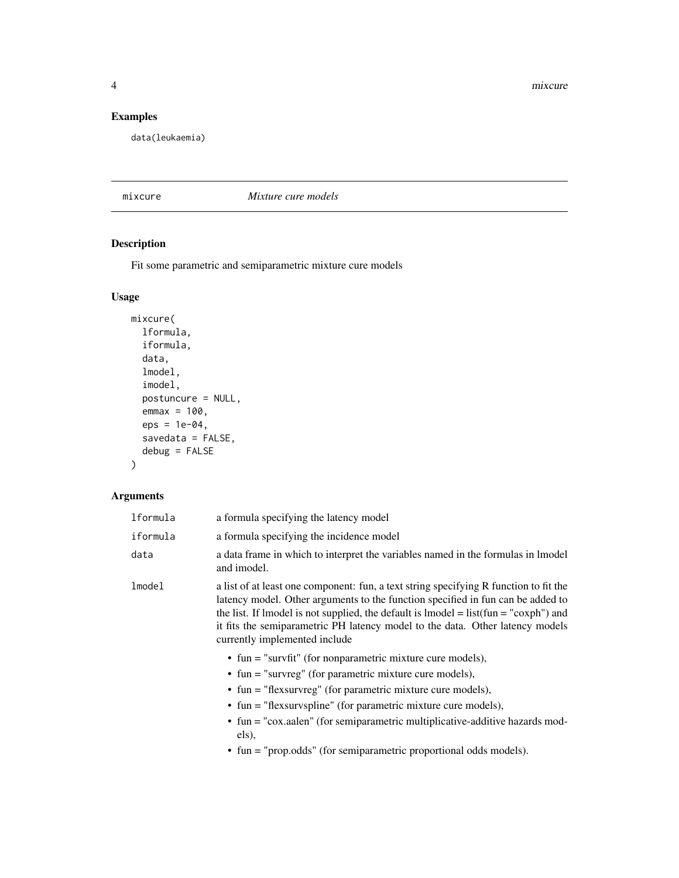<span id="page-3-0"></span>4 mixcure

#### Examples

data(leukaemia)

#### mixcure *Mixture cure models*

#### Description

Fit some parametric and semiparametric mixture cure models

#### Usage

```
mixcure(
  lformula,
  iformula,
  data,
  lmodel,
  imodel,
  postuncure = NULL,
  emmax = 100,
  eps = 1e-04,
  savedata = FALSE,debug = FALSE
\mathcal{L}
```

| lformula | a formula specifying the latency model                                                                                                                                                                                                                                                                                                                                                                                                |
|----------|---------------------------------------------------------------------------------------------------------------------------------------------------------------------------------------------------------------------------------------------------------------------------------------------------------------------------------------------------------------------------------------------------------------------------------------|
| iformula | a formula specifying the incidence model                                                                                                                                                                                                                                                                                                                                                                                              |
| data     | a data frame in which to interpret the variables named in the formulas in lmodel<br>and imodel.                                                                                                                                                                                                                                                                                                                                       |
| lmode1   | a list of at least one component: fun, a text string specifying R function to fit the<br>latency model. Other arguments to the function specified in fun can be added to<br>the list. If lmodel is not supplied, the default is lmodel = $list(fun = "coxph")$ and<br>it fits the semiparametric PH latency model to the data. Other latency models<br>currently implemented include                                                  |
|          | • fun = "survfit" (for nonparametric mixture cure models),<br>$\bullet$ fun = "survreg" (for parametric mixture cure models),<br>• fun = "flexsurvreg" (for parametric mixture cure models),<br>$\bullet$ fun = "flexsurvspline" (for parametric mixture cure models),<br>• fun = "cox.aalen" (for semiparametric multiplicative-additive hazards mod-<br>els),<br>• fun = "prop.odds" (for semiparametric proportional odds models). |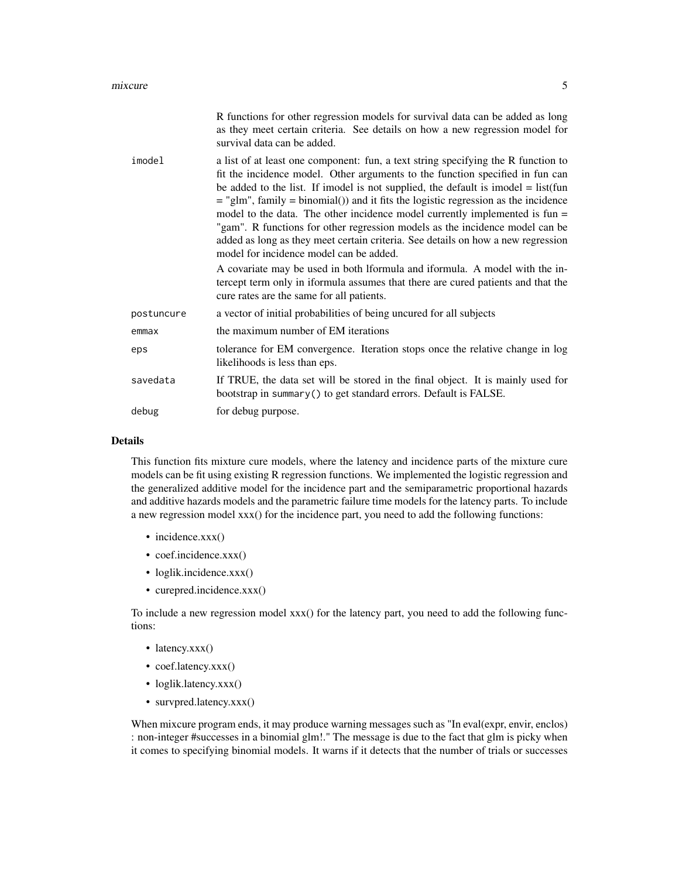|            | R functions for other regression models for survival data can be added as long<br>as they meet certain criteria. See details on how a new regression model for<br>survival data can be added.                                                                                                                                                                                                                                                                                                                                                                                                                                                                                                                                                                                                                          |
|------------|------------------------------------------------------------------------------------------------------------------------------------------------------------------------------------------------------------------------------------------------------------------------------------------------------------------------------------------------------------------------------------------------------------------------------------------------------------------------------------------------------------------------------------------------------------------------------------------------------------------------------------------------------------------------------------------------------------------------------------------------------------------------------------------------------------------------|
| imodel     | a list of at least one component: fun, a text string specifying the R function to<br>fit the incidence model. Other arguments to the function specified in fun can<br>be added to the list. If imodel is not supplied, the default is imodel $=$ list(fun<br>$=$ "glm", family $=$ binomial()) and it fits the logistic regression as the incidence<br>model to the data. The other incidence model currently implemented is $fun =$<br>"gam". R functions for other regression models as the incidence model can be<br>added as long as they meet certain criteria. See details on how a new regression<br>model for incidence model can be added.<br>A covariate may be used in both Iformula and iformula. A model with the in-<br>tercept term only in iformula assumes that there are cured patients and that the |
|            | cure rates are the same for all patients.                                                                                                                                                                                                                                                                                                                                                                                                                                                                                                                                                                                                                                                                                                                                                                              |
| postuncure | a vector of initial probabilities of being uncured for all subjects                                                                                                                                                                                                                                                                                                                                                                                                                                                                                                                                                                                                                                                                                                                                                    |
| emmax      | the maximum number of EM iterations                                                                                                                                                                                                                                                                                                                                                                                                                                                                                                                                                                                                                                                                                                                                                                                    |
| eps        | tolerance for EM convergence. Iteration stops once the relative change in log<br>likelihoods is less than eps.                                                                                                                                                                                                                                                                                                                                                                                                                                                                                                                                                                                                                                                                                                         |
| savedata   | If TRUE, the data set will be stored in the final object. It is mainly used for<br>bootstrap in summary () to get standard errors. Default is FALSE.                                                                                                                                                                                                                                                                                                                                                                                                                                                                                                                                                                                                                                                                   |
| debug      | for debug purpose.                                                                                                                                                                                                                                                                                                                                                                                                                                                                                                                                                                                                                                                                                                                                                                                                     |
|            |                                                                                                                                                                                                                                                                                                                                                                                                                                                                                                                                                                                                                                                                                                                                                                                                                        |

#### Details

This function fits mixture cure models, where the latency and incidence parts of the mixture cure models can be fit using existing R regression functions. We implemented the logistic regression and the generalized additive model for the incidence part and the semiparametric proportional hazards and additive hazards models and the parametric failure time models for the latency parts. To include a new regression model xxx() for the incidence part, you need to add the following functions:

- incidence.xxx()
- coef.incidence.xxx()
- loglik.incidence.xxx()
- curepred.incidence.xxx()

To include a new regression model xxx() for the latency part, you need to add the following functions:

- latency.xxx()
- coef.latency.xxx()
- loglik.latency.xxx()
- survpred.latency.xxx()

When mixcure program ends, it may produce warning messages such as "In eval(expr, envir, enclos) : non-integer #successes in a binomial glm!." The message is due to the fact that glm is picky when it comes to specifying binomial models. It warns if it detects that the number of trials or successes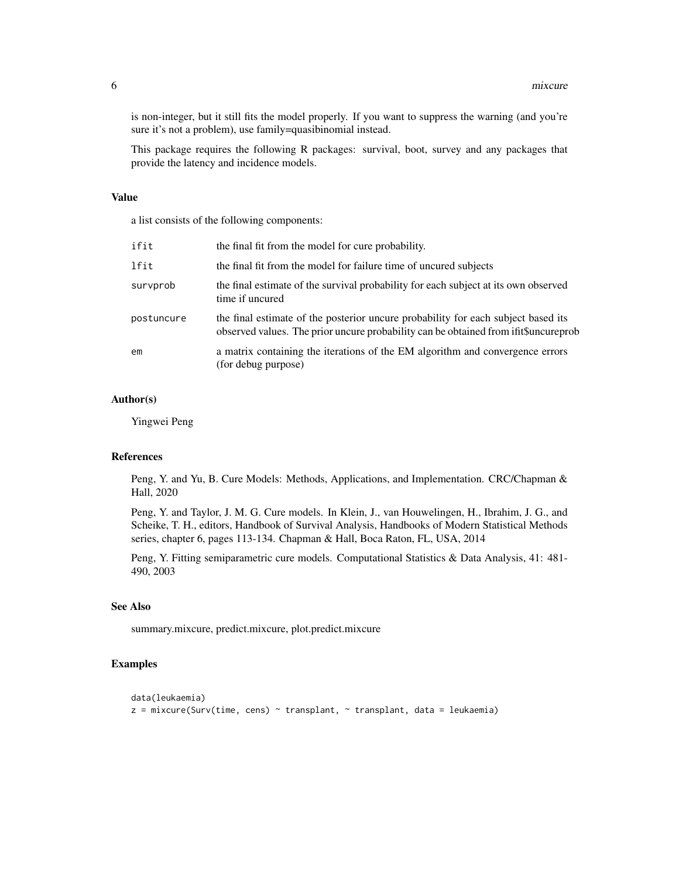is non-integer, but it still fits the model properly. If you want to suppress the warning (and you're sure it's not a problem), use family=quasibinomial instead.

This package requires the following R packages: survival, boot, survey and any packages that provide the latency and incidence models.

#### Value

a list consists of the following components:

| ifit       | the final fit from the model for cure probability.                                                                                                                        |
|------------|---------------------------------------------------------------------------------------------------------------------------------------------------------------------------|
| lfit       | the final fit from the model for failure time of uncured subjects                                                                                                         |
| survprob   | the final estimate of the survival probability for each subject at its own observed<br>time if uncured                                                                    |
| postuncure | the final estimate of the posterior uncure probability for each subject based its<br>observed values. The prior uncure probability can be obtained from if the uncureprob |
| em         | a matrix containing the iterations of the EM algorithm and convergence errors<br>(for debug purpose)                                                                      |

#### Author(s)

Yingwei Peng

#### References

Peng, Y. and Yu, B. Cure Models: Methods, Applications, and Implementation. CRC/Chapman & Hall, 2020

Peng, Y. and Taylor, J. M. G. Cure models. In Klein, J., van Houwelingen, H., Ibrahim, J. G., and Scheike, T. H., editors, Handbook of Survival Analysis, Handbooks of Modern Statistical Methods series, chapter 6, pages 113-134. Chapman & Hall, Boca Raton, FL, USA, 2014

Peng, Y. Fitting semiparametric cure models. Computational Statistics & Data Analysis, 41: 481- 490, 2003

#### See Also

summary.mixcure, predict.mixcure, plot.predict.mixcure

#### Examples

```
data(leukaemia)
z = mixcure(Surv(time, cens) \sim transplant, \sim transplant, data = leukaemia)
```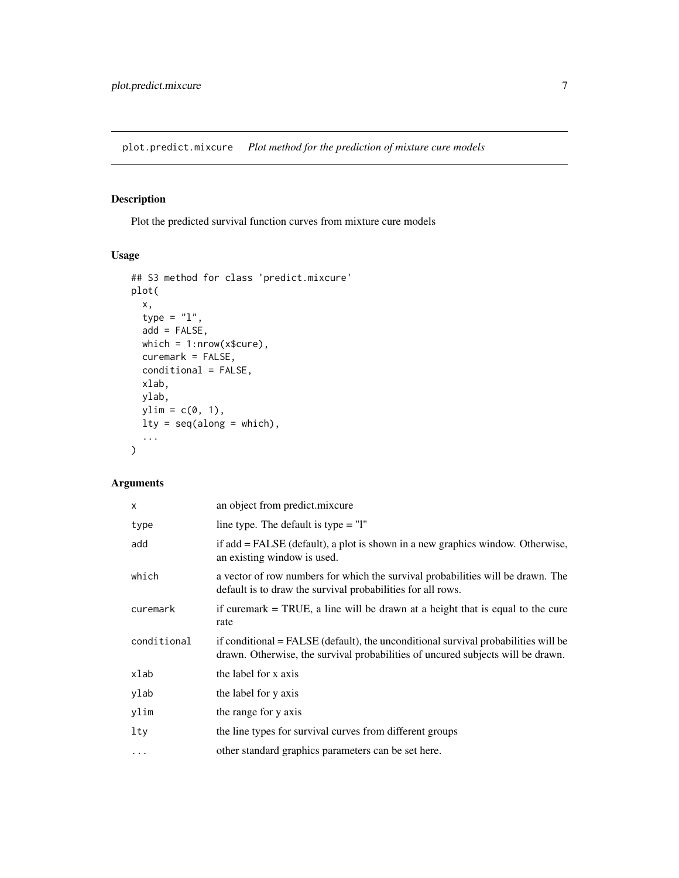<span id="page-6-0"></span>plot.predict.mixcure *Plot method for the prediction of mixture cure models*

#### Description

Plot the predicted survival function curves from mixture cure models

#### Usage

```
## S3 method for class 'predict.mixcure'
plot(
 x,
 type = "1",add = FALSE,which = 1:nrow(x$cure),
 curemark = FALSE,
 conditional = FALSE,
 xlab,
 ylab,
 ylim = c(0, 1),lty = seq(along = which),
  ...
)
```

| X           | an object from predict.mixcure                                                                                                                                        |
|-------------|-----------------------------------------------------------------------------------------------------------------------------------------------------------------------|
| type        | line type. The default is type $=$ "l"                                                                                                                                |
| add         | if add = FALSE (default), a plot is shown in a new graphics window. Otherwise,<br>an existing window is used.                                                         |
| which       | a vector of row numbers for which the survival probabilities will be drawn. The<br>default is to draw the survival probabilities for all rows.                        |
| curemark    | if curemark $=$ TRUE, a line will be drawn at a height that is equal to the cure<br>rate                                                                              |
| conditional | if conditional = FALSE (default), the unconditional survival probabilities will be<br>drawn. Otherwise, the survival probabilities of uncured subjects will be drawn. |
| xlab        | the label for x axis                                                                                                                                                  |
| ylab        | the label for y axis                                                                                                                                                  |
| ylim        | the range for y axis                                                                                                                                                  |
| lty         | the line types for survival curves from different groups                                                                                                              |
| $\cdots$    | other standard graphics parameters can be set here.                                                                                                                   |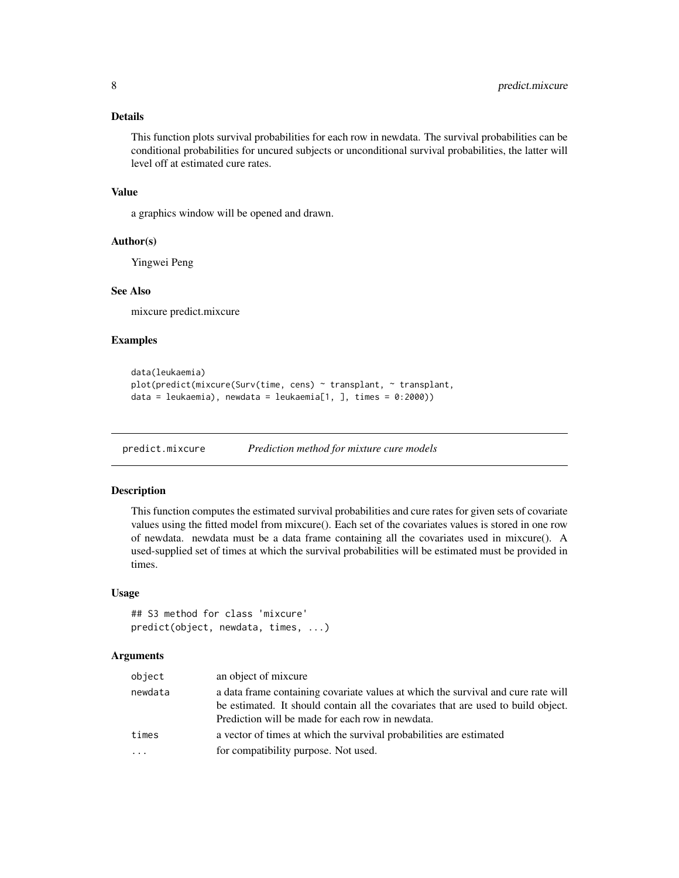#### <span id="page-7-0"></span>Details

This function plots survival probabilities for each row in newdata. The survival probabilities can be conditional probabilities for uncured subjects or unconditional survival probabilities, the latter will level off at estimated cure rates.

#### Value

a graphics window will be opened and drawn.

#### Author(s)

Yingwei Peng

#### See Also

mixcure predict.mixcure

#### Examples

```
data(leukaemia)
plot(predict(mixcure(Surv(time, cens) ~ transplant, ~ transplant,
data = leukaemia), newdata = leukaemia[1, ], times = 0:2000))
```
predict.mixcure *Prediction method for mixture cure models*

#### Description

This function computes the estimated survival probabilities and cure rates for given sets of covariate values using the fitted model from mixcure(). Each set of the covariates values is stored in one row of newdata. newdata must be a data frame containing all the covariates used in mixcure(). A used-supplied set of times at which the survival probabilities will be estimated must be provided in times.

#### Usage

```
## S3 method for class 'mixcure'
predict(object, newdata, times, ...)
```

| object                  | an object of mixcure                                                                                                                                                                                                       |
|-------------------------|----------------------------------------------------------------------------------------------------------------------------------------------------------------------------------------------------------------------------|
| newdata                 | a data frame containing covariate values at which the survival and cure rate will<br>be estimated. It should contain all the covariates that are used to build object.<br>Prediction will be made for each row in newdata. |
| times                   | a vector of times at which the survival probabilities are estimated                                                                                                                                                        |
| $\cdot$ $\cdot$ $\cdot$ | for compatibility purpose. Not used.                                                                                                                                                                                       |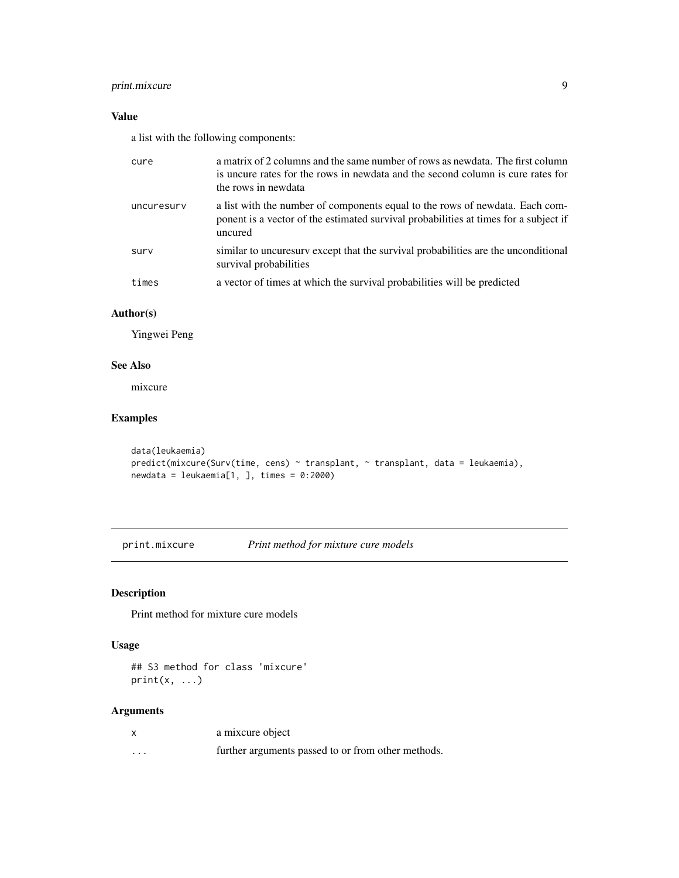#### <span id="page-8-0"></span>print.mixcure 9

#### Value

a list with the following components:

| cure       | a matrix of 2 columns and the same number of rows as newdata. The first column<br>is uncure rates for the rows in newdata and the second column is cure rates for<br>the rows in newdata |
|------------|------------------------------------------------------------------------------------------------------------------------------------------------------------------------------------------|
| uncuresury | a list with the number of components equal to the rows of newdata. Each com-<br>ponent is a vector of the estimated survival probabilities at times for a subject if<br>uncured          |
| surv       | similar to uncuresurv except that the survival probabilities are the unconditional<br>survival probabilities                                                                             |
| times      | a vector of times at which the survival probabilities will be predicted                                                                                                                  |

#### Author(s)

Yingwei Peng

#### See Also

mixcure

#### Examples

```
data(leukaemia)
predict(mixcure(Surv(time, cens) ~ transplant, ~ transplant, data = leukaemia),
newdata = leukaemia[1, ], times = 0:2000)
```
print.mixcure *Print method for mixture cure models*

#### Description

Print method for mixture cure models

#### Usage

## S3 method for class 'mixcure'  $print(x, \ldots)$ 

|          | a mixcure object                                   |
|----------|----------------------------------------------------|
| $\cdots$ | further arguments passed to or from other methods. |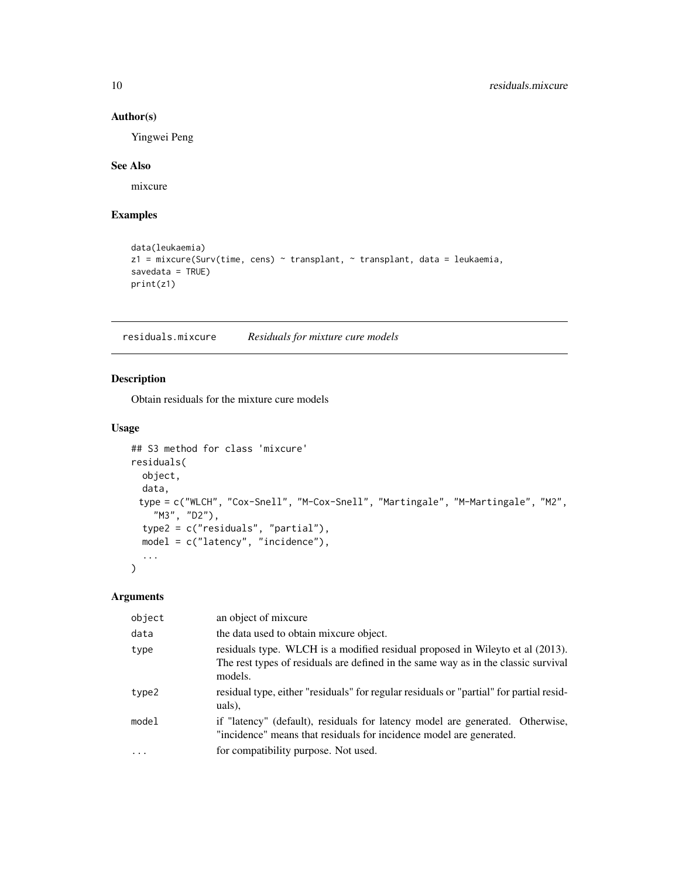#### Author(s)

Yingwei Peng

#### See Also

mixcure

#### Examples

```
data(leukaemia)
z1 = mixcure(Surv(time, cens) ~ transplant, ~ transplant, data = leukaemia,
savedata = TRUE)
print(z1)
```
residuals.mixcure *Residuals for mixture cure models*

#### Description

Obtain residuals for the mixture cure models

#### Usage

```
## S3 method for class 'mixcure'
residuals(
 object,
 data,
 type = c("WLCH", "Cox-Snell", "M-Cox-Snell", "Martingale", "M-Martingale", "M2",
    "M3", "D2"),
  type2 = c("residuals", "partial"),
 model = c("latency", "incidence"),
  ...
)
```

| object  | an object of mixcure                                                                                                                                                           |
|---------|--------------------------------------------------------------------------------------------------------------------------------------------------------------------------------|
| data    | the data used to obtain mixcure object.                                                                                                                                        |
| type    | residuals type. WLCH is a modified residual proposed in Wileyto et al (2013).<br>The rest types of residuals are defined in the same way as in the classic survival<br>models. |
| type2   | residual type, either "residuals" for regular residuals or "partial" for partial resid-<br>uals),                                                                              |
| model   | if "latency" (default), residuals for latency model are generated. Otherwise,<br>"incidence" means that residuals for incidence model are generated.                           |
| $\cdot$ | for compatibility purpose. Not used.                                                                                                                                           |

<span id="page-9-0"></span>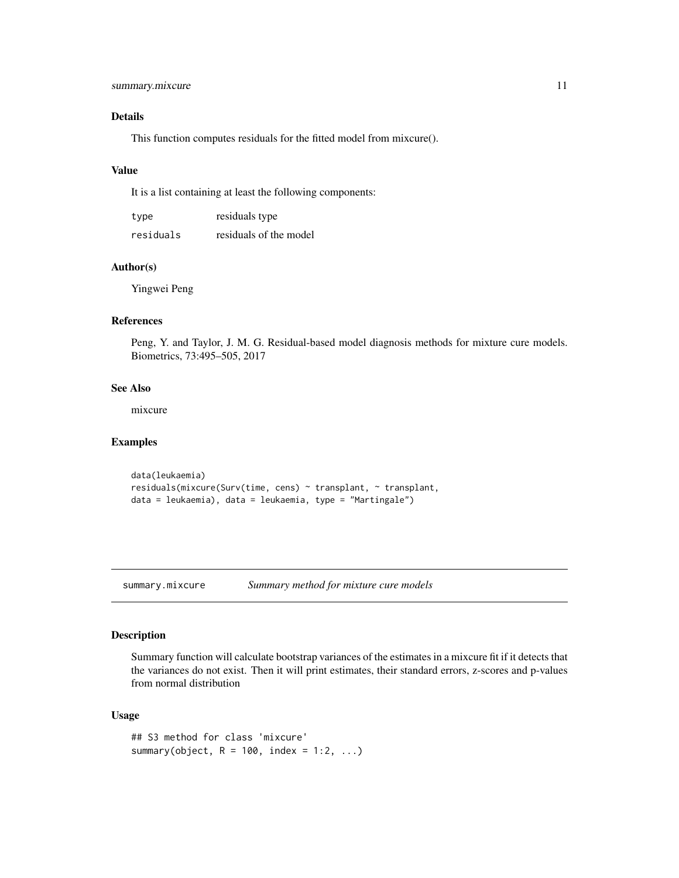#### <span id="page-10-0"></span>Details

This function computes residuals for the fitted model from mixcure().

#### Value

It is a list containing at least the following components:

| type      | residuals type         |
|-----------|------------------------|
| residuals | residuals of the model |

#### Author(s)

Yingwei Peng

#### References

Peng, Y. and Taylor, J. M. G. Residual-based model diagnosis methods for mixture cure models. Biometrics, 73:495–505, 2017

#### See Also

mixcure

#### Examples

```
data(leukaemia)
residuals(mixcure(Surv(time, cens) ~ transplant, ~ transplant,
data = leukaemia), data = leukaemia, type = "Martingale")
```
summary.mixcure *Summary method for mixture cure models*

#### Description

Summary function will calculate bootstrap variances of the estimates in a mixcure fit if it detects that the variances do not exist. Then it will print estimates, their standard errors, z-scores and p-values from normal distribution

#### Usage

```
## S3 method for class 'mixcure'
summary(object, R = 100, index = 1:2, ...)
```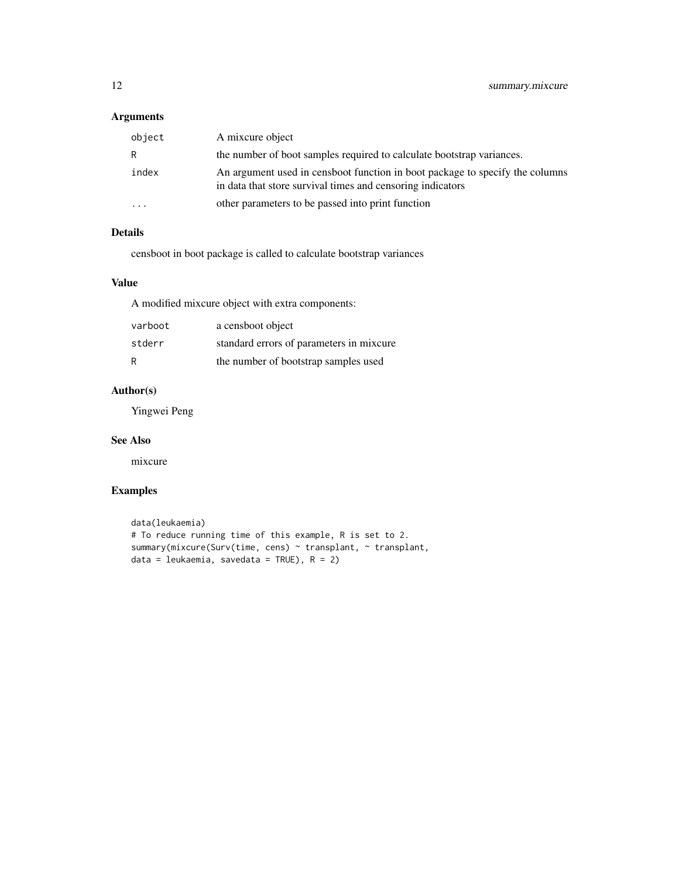#### Arguments

| object                  | A mixcure object                                                                                                                           |
|-------------------------|--------------------------------------------------------------------------------------------------------------------------------------------|
| R                       | the number of boot samples required to calculate bootstrap variances.                                                                      |
| index                   | An argument used in censboot function in boot package to specify the columns<br>in data that store survival times and censoring indicators |
| $\cdot$ $\cdot$ $\cdot$ | other parameters to be passed into print function                                                                                          |

#### Details

censboot in boot package is called to calculate bootstrap variances

#### Value

A modified mixcure object with extra components:

| varboot | a censboot object                        |
|---------|------------------------------------------|
| stderr  | standard errors of parameters in mixcure |
| R       | the number of bootstrap samples used     |

#### Author(s)

Yingwei Peng

#### See Also

mixcure

#### Examples

```
data(leukaemia)
# To reduce running time of this example, R is set to 2.
summary(mixcure(Surv(time, cens) ~ transplant, ~ transplant,
data = leukaemia, savedata = TRUE), R = 2)
```